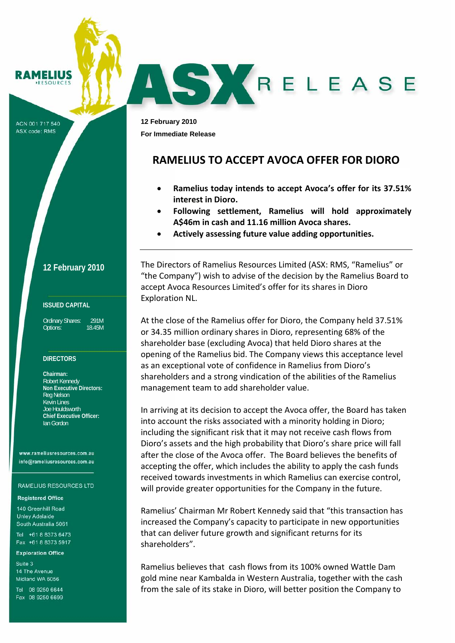#### **AMELIUS** ESOURCE

ACN 001 717 540 ASX code: RMS

## **12 February 2010**

## **ISSUED CAPITAL**

Ordinary Shares: 291M Options: 18.45M

## **DIRECTORS**

**Chairman:**  Robert Kennedy **Non Executive Directors:**  Reg Nelson Kevin Lines Joe Houldsworth **Chief Executive Officer:**  Ian Gordon

www.rameliusresources.com.au info@rameliusresources.com.au

#### **RAMELIUS RESOURCES LTD**

## **Registered Office**

140 Greenhill Road **Unley Adelaide** South Australia 5061

Tel +61 8 8373 6473 Fax +61 8 8373 5917

#### **Exploration Office**

Suite 3 14 The Avenue Midland WA 6056

Tel 08 9250 6644 Fax 08 9250 6699

**12 February 2010 For Immediate Release** 

# **RAMELIUS TO ACCEPT AVOCA OFFER FOR DIORO**

AS KRELEASE

- **Ramelius today intends to accept Avoca's offer for its 37.51% interest in Dioro.**
- **Following settlement, Ramelius will hold approximately A\$46m in cash and 11.16 million Avoca shares.**
- **Actively assessing future value adding opportunities.**

The Directors of Ramelius Resources Limited (ASX: RMS, "Ramelius" or "the Company") wish to advise of the decision by the Ramelius Board to accept Avoca Resources Limited's offer for its shares in Dioro Exploration NL.

At the close of the Ramelius offer for Dioro, the Company held 37.51% or 34.35 million ordinary shares in Dioro, representing 68% of the shareholder base (excluding Avoca) that held Dioro shares at the opening of the Ramelius bid. The Company views this acceptance level as an exceptional vote of confidence in Ramelius from Dioro's shareholders and a strong vindication of the abilities of the Ramelius management team to add shareholder value.

In arriving at its decision to accept the Avoca offer, the Board has taken into account the risks associated with a minority holding in Dioro; including the significant risk that it may not receive cash flows from Dioro's assets and the high probability that Dioro's share price will fall after the close of the Avoca offer. The Board believes the benefits of accepting the offer, which includes the ability to apply the cash funds received towards investments in which Ramelius can exercise control, will provide greater opportunities for the Company in the future.

Ramelius' Chairman Mr Robert Kennedy said that "this transaction has increased the Company's capacity to participate in new opportunities that can deliver future growth and significant returns for its shareholders".

Ramelius believes that cash flows from its 100% owned Wattle Dam gold mine near Kambalda in Western Australia, together with the cash from the sale of its stake in Dioro, will better position the Company to